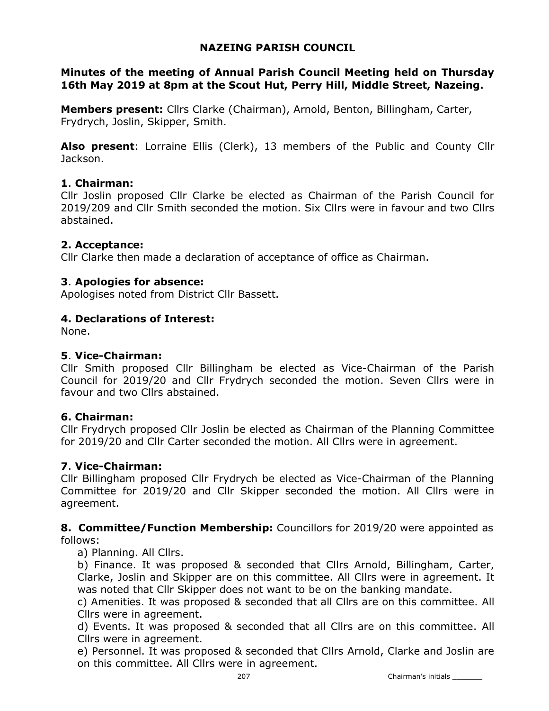## NAZEING PARISH COUNCIL

### Minutes of the meeting of Annual Parish Council Meeting held on Thursday 16th May 2019 at 8pm at the Scout Hut, Perry Hill, Middle Street, Nazeing.

Members present: Cllrs Clarke (Chairman), Arnold, Benton, Billingham, Carter, Frydrych, Joslin, Skipper, Smith.

Also present: Lorraine Ellis (Clerk), 13 members of the Public and County Cllr Jackson.

### 1. Chairman:

Cllr Joslin proposed Cllr Clarke be elected as Chairman of the Parish Council for 2019/209 and Cllr Smith seconded the motion. Six Cllrs were in favour and two Cllrs abstained.

### 2. Acceptance:

Cllr Clarke then made a declaration of acceptance of office as Chairman.

### 3. Apologies for absence:

Apologises noted from District Cllr Bassett.

### 4. Declarations of Interest:

None.

### 5. Vice-Chairman:

Cllr Smith proposed Cllr Billingham be elected as Vice-Chairman of the Parish Council for 2019/20 and Cllr Frydrych seconded the motion. Seven Cllrs were in favour and two Cllrs abstained.

### 6. Chairman:

Cllr Frydrych proposed Cllr Joslin be elected as Chairman of the Planning Committee for 2019/20 and Cllr Carter seconded the motion. All Cllrs were in agreement.

### 7. Vice-Chairman:

Cllr Billingham proposed Cllr Frydrych be elected as Vice-Chairman of the Planning Committee for 2019/20 and Cllr Skipper seconded the motion. All Cllrs were in agreement.

**8. Committee/Function Membership:** Councillors for 2019/20 were appointed as follows:

a) Planning. All Cllrs.

b) Finance. It was proposed & seconded that Cllrs Arnold, Billingham, Carter, Clarke, Joslin and Skipper are on this committee. All Cllrs were in agreement. It was noted that Cllr Skipper does not want to be on the banking mandate.

c) Amenities. It was proposed & seconded that all Cllrs are on this committee. All Cllrs were in agreement.

d) Events. It was proposed & seconded that all Cllrs are on this committee. All Cllrs were in agreement.

e) Personnel. It was proposed & seconded that Cllrs Arnold, Clarke and Joslin are on this committee. All Cllrs were in agreement.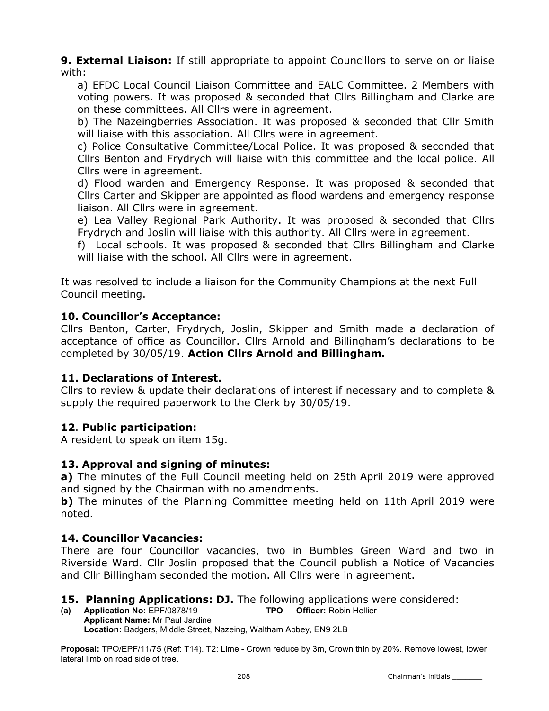**9. External Liaison:** If still appropriate to appoint Councillors to serve on or liaise with:

a) EFDC Local Council Liaison Committee and EALC Committee. 2 Members with voting powers. It was proposed & seconded that Cllrs Billingham and Clarke are on these committees. All Cllrs were in agreement.

b) The Nazeingberries Association. It was proposed & seconded that Cllr Smith will liaise with this association. All Cllrs were in agreement.

c) Police Consultative Committee/Local Police. It was proposed & seconded that Cllrs Benton and Frydrych will liaise with this committee and the local police. All Cllrs were in agreement.

d) Flood warden and Emergency Response. It was proposed & seconded that Cllrs Carter and Skipper are appointed as flood wardens and emergency response liaison. All Cllrs were in agreement.

e) Lea Valley Regional Park Authority. It was proposed & seconded that Cllrs Frydrych and Joslin will liaise with this authority. All Cllrs were in agreement.

f) Local schools. It was proposed & seconded that Cllrs Billingham and Clarke will liaise with the school. All Cllrs were in agreement.

It was resolved to include a liaison for the Community Champions at the next Full Council meeting.

### 10. Councillor's Acceptance:

Cllrs Benton, Carter, Frydrych, Joslin, Skipper and Smith made a declaration of acceptance of office as Councillor. Cllrs Arnold and Billingham's declarations to be completed by 30/05/19. Action Cllrs Arnold and Billingham.

## 11. Declarations of Interest.

Cllrs to review & update their declarations of interest if necessary and to complete & supply the required paperwork to the Clerk by 30/05/19.

## 12. Public participation:

A resident to speak on item 15g.

## 13. Approval and signing of minutes:

a) The minutes of the Full Council meeting held on 25th April 2019 were approved and signed by the Chairman with no amendments.

b) The minutes of the Planning Committee meeting held on 11th April 2019 were noted.

## 14. Councillor Vacancies:

There are four Councillor vacancies, two in Bumbles Green Ward and two in Riverside Ward. Cllr Joslin proposed that the Council publish a Notice of Vacancies and Cllr Billingham seconded the motion. All Cllrs were in agreement.

### 15. Planning Applications: DJ. The following applications were considered:

(a) Application No: EPF/0878/19 TPO Officer: Robin Hellier Applicant Name: Mr Paul Jardine Location: Badgers, Middle Street, Nazeing, Waltham Abbey, EN9 2LB

Proposal: TPO/EPF/11/75 (Ref: T14). T2: Lime - Crown reduce by 3m, Crown thin by 20%. Remove lowest, lower lateral limb on road side of tree.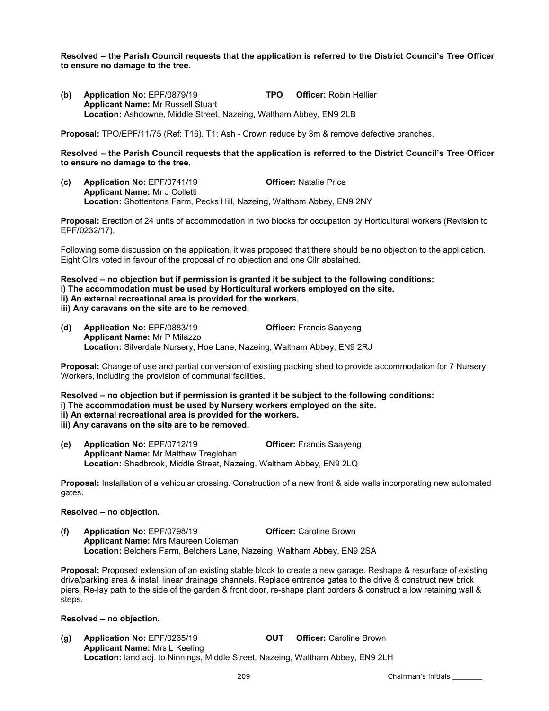Resolved – the Parish Council requests that the application is referred to the District Council's Tree Officer to ensure no damage to the tree.

(b) Application No: EPF/0879/19 TPO Officer: Robin Hellier Applicant Name: Mr Russell Stuart Location: Ashdowne, Middle Street, Nazeing, Waltham Abbey, EN9 2LB

Proposal: TPO/EPF/11/75 (Ref: T16). T1: Ash - Crown reduce by 3m & remove defective branches.

Resolved – the Parish Council requests that the application is referred to the District Council's Tree Officer to ensure no damage to the tree.

(c) Application No: EPF/0741/19 Officer: Natalie Price Applicant Name: Mr J Colletti Location: Shottentons Farm, Pecks Hill, Nazeing, Waltham Abbey, EN9 2NY

Proposal: Erection of 24 units of accommodation in two blocks for occupation by Horticultural workers (Revision to EPF/0232/17).

Following some discussion on the application, it was proposed that there should be no objection to the application. Eight Cllrs voted in favour of the proposal of no objection and one Cllr abstained.

#### Resolved – no objection but if permission is granted it be subject to the following conditions: i) The accommodation must be used by Horticultural workers employed on the site. ii) An external recreational area is provided for the workers. iii) Any caravans on the site are to be removed.

(d) Application No: EPF/0883/19 Officer: Francis Saayeng Applicant Name: Mr P Milazzo Location: Silverdale Nursery, Hoe Lane, Nazeing, Waltham Abbey, EN9 2RJ

Proposal: Change of use and partial conversion of existing packing shed to provide accommodation for 7 Nursery Workers, including the provision of communal facilities.

Resolved – no objection but if permission is granted it be subject to the following conditions: i) The accommodation must be used by Nursery workers employed on the site. ii) An external recreational area is provided for the workers. iii) Any caravans on the site are to be removed.

(e) Application No: EPF/0712/19 Officer: Francis Saayeng Applicant Name: Mr Matthew Treglohan Location: Shadbrook, Middle Street, Nazeing, Waltham Abbey, EN9 2LQ

Proposal: Installation of a vehicular crossing. Construction of a new front & side walls incorporating new automated gates.

#### Resolved – no objection.

(f) Application No: EPF/0798/19 Officer: Caroline Brown Applicant Name: Mrs Maureen Coleman Location: Belchers Farm, Belchers Lane, Nazeing, Waltham Abbey, EN9 2SA

Proposal: Proposed extension of an existing stable block to create a new garage. Reshape & resurface of existing drive/parking area & install linear drainage channels. Replace entrance gates to the drive & construct new brick piers. Re-lay path to the side of the garden & front door, re-shape plant borders & construct a low retaining wall & steps.

#### Resolved – no objection.

(g) Application No: EPF/0265/19 OUT Officer: Caroline Brown Applicant Name: Mrs L Keeling Location: land adj. to Ninnings, Middle Street, Nazeing, Waltham Abbey, EN9 2LH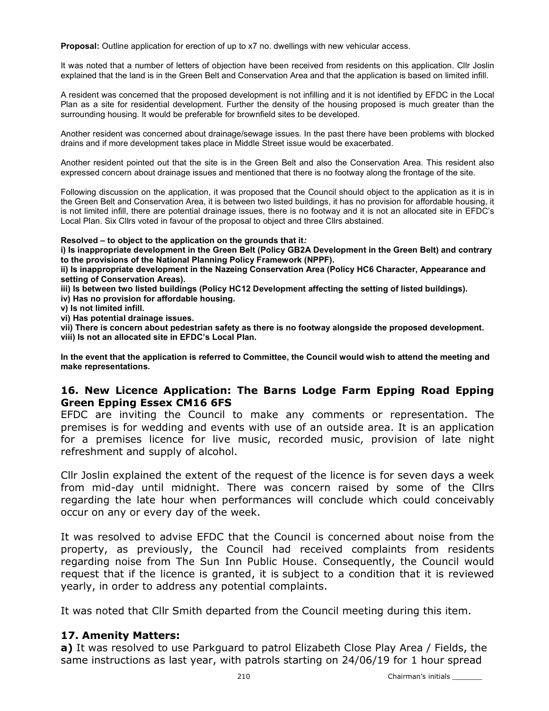Proposal: Outline application for erection of up to x7 no. dwellings with new vehicular access.

It was noted that a number of letters of objection have been received from residents on this application. Cllr Joslin explained that the land is in the Green Belt and Conservation Area and that the application is based on limited infill.

A resident was concerned that the proposed development is not infilling and it is not identified by EFDC in the Local Plan as a site for residential development. Further the density of the housing proposed is much greater than the surrounding housing. It would be preferable for brownfield sites to be developed.

Another resident was concerned about drainage/sewage issues. In the past there have been problems with blocked drains and if more development takes place in Middle Street issue would be exacerbated.

Another resident pointed out that the site is in the Green Belt and also the Conservation Area. This resident also expressed concern about drainage issues and mentioned that there is no footway along the frontage of the site.

Following discussion on the application, it was proposed that the Council should object to the application as it is in the Green Belt and Conservation Area, it is between two listed buildings, it has no provision for affordable housing, it is not limited infill, there are potential drainage issues, there is no footway and it is not an allocated site in EFDC's Local Plan. Six Cllrs voted in favour of the proposal to object and three Cllrs abstained.

Resolved – to object to the application on the grounds that it:

i) Is inappropriate development in the Green Belt (Policy GB2A Development in the Green Belt) and contrary to the provisions of the National Planning Policy Framework (NPPF).

ii) Is inappropriate development in the Nazeing Conservation Area (Policy HC6 Character, Appearance and setting of Conservation Areas).

iii) Is between two listed buildings (Policy HC12 Development affecting the setting of listed buildings).

iv) Has no provision for affordable housing.

v) Is not limited infill.

vi) Has potential drainage issues.

vii) There is concern about pedestrian safety as there is no footway alongside the proposed development. viii) Is not an allocated site in EFDC's Local Plan.

In the event that the application is referred to Committee, the Council would wish to attend the meeting and make representations.

### 16. New Licence Application: The Barns Lodge Farm Epping Road Epping Green Epping Essex CM16 6FS

EFDC are inviting the Council to make any comments or representation. The premises is for wedding and events with use of an outside area. It is an application for a premises licence for live music, recorded music, provision of late night refreshment and supply of alcohol.

Cllr Joslin explained the extent of the request of the licence is for seven days a week from mid-day until midnight. There was concern raised by some of the Cllrs regarding the late hour when performances will conclude which could conceivably occur on any or every day of the week.

It was resolved to advise EFDC that the Council is concerned about noise from the property, as previously, the Council had received complaints from residents regarding noise from The Sun Inn Public House. Consequently, the Council would request that if the licence is granted, it is subject to a condition that it is reviewed yearly, in order to address any potential complaints.

It was noted that Cllr Smith departed from the Council meeting during this item.

### 17. Amenity Matters:

a) It was resolved to use Parkguard to patrol Elizabeth Close Play Area / Fields, the same instructions as last year, with patrols starting on 24/06/19 for 1 hour spread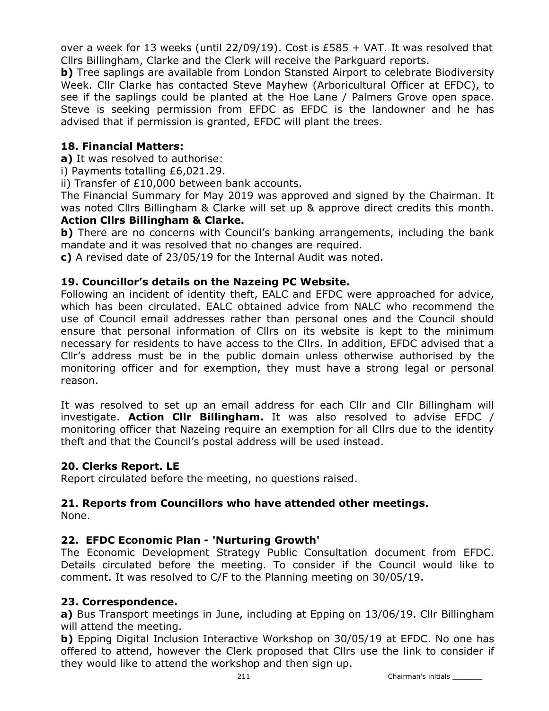over a week for 13 weeks (until  $22/09/19$ ). Cost is £585 + VAT. It was resolved that Cllrs Billingham, Clarke and the Clerk will receive the Parkguard reports.

**b)** Tree saplings are available from London Stansted Airport to celebrate Biodiversity Week. Cllr Clarke has contacted Steve Mayhew (Arboricultural Officer at EFDC), to see if the saplings could be planted at the Hoe Lane / Palmers Grove open space. Steve is seeking permission from EFDC as EFDC is the landowner and he has advised that if permission is granted, EFDC will plant the trees.

## 18. Financial Matters:

a) It was resolved to authorise:

i) Payments totalling £6,021.29.

ii) Transfer of £10,000 between bank accounts.

The Financial Summary for May 2019 was approved and signed by the Chairman. It was noted Cllrs Billingham & Clarke will set up & approve direct credits this month.

### Action Cllrs Billingham & Clarke.

b) There are no concerns with Council's banking arrangements, including the bank mandate and it was resolved that no changes are required.

c) A revised date of 23/05/19 for the Internal Audit was noted.

### 19. Councillor's details on the Nazeing PC Website.

Following an incident of identity theft, EALC and EFDC were approached for advice, which has been circulated. EALC obtained advice from NALC who recommend the use of Council email addresses rather than personal ones and the Council should ensure that personal information of Cllrs on its website is kept to the minimum necessary for residents to have access to the Cllrs. In addition, EFDC advised that a Cllr's address must be in the public domain unless otherwise authorised by the monitoring officer and for exemption, they must have a strong legal or personal reason.

It was resolved to set up an email address for each Cllr and Cllr Billingham will investigate. Action Clir Billingham. It was also resolved to advise EFDC  $/$ monitoring officer that Nazeing require an exemption for all Cllrs due to the identity theft and that the Council's postal address will be used instead.

## 20. Clerks Report. LE

Report circulated before the meeting, no questions raised.

# 21. Reports from Councillors who have attended other meetings.

None.

## 22. EFDC Economic Plan - 'Nurturing Growth'

The Economic Development Strategy Public Consultation document from EFDC. Details circulated before the meeting. To consider if the Council would like to comment. It was resolved to C/F to the Planning meeting on 30/05/19.

### 23. Correspondence.

a) Bus Transport meetings in June, including at Epping on 13/06/19. Cllr Billingham will attend the meeting.

b) Epping Digital Inclusion Interactive Workshop on 30/05/19 at EFDC. No one has offered to attend, however the Clerk proposed that Cllrs use the link to consider if they would like to attend the workshop and then sign up.